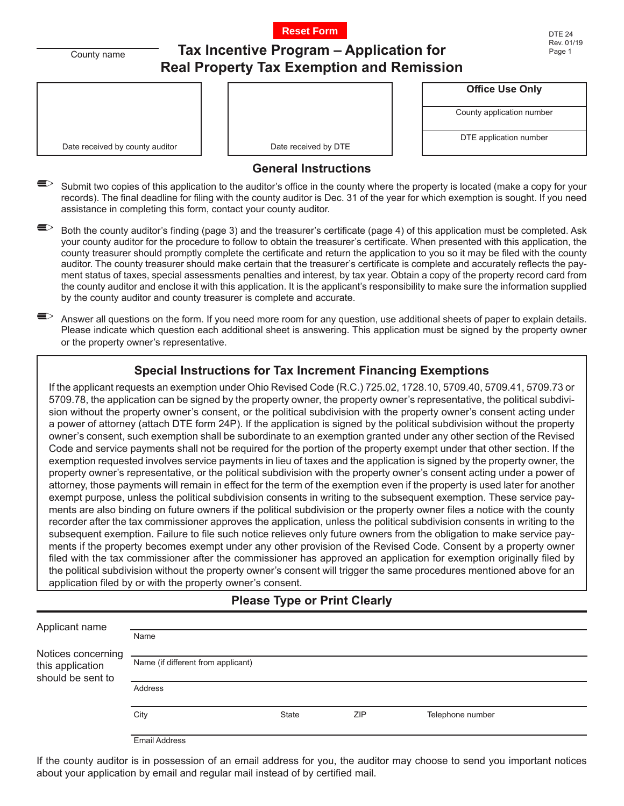

County name

# **Tax Incentive Program – Application for Real Property Tax Exemption and Remission**

Date received by county auditor  $\Box$  Date received by DTE

**Office Use Only**

County application number

DTE application number

#### **General Instructions**

- Submit two copies of this application to the auditor's office in the county where the property is located (make a copy for your records). The final deadline for filing with the county auditor is Dec. 31 of the year for which exemption is sought. If you need assistance in completing this form, contact your county auditor.
- $\blacktriangleright$  Both the county auditor's finding (page 3) and the treasurer's certificate (page 4) of this application must be completed. Ask your county auditor for the procedure to follow to obtain the treasurer's certificate. When presented with this application, the county treasurer should promptly complete the certificate and return the application to you so it may be filed with the county auditor. The county treasurer should make certain that the treasurer's certificate is complete and accurately reflects the payment status of taxes, special assessments penalties and interest, by tax year. Obtain a copy of the property record card from the county auditor and enclose it with this application. It is the applicant's responsibility to make sure the information supplied by the county auditor and county treasurer is complete and accurate.
- $\blacktrianglelefteq$  Answer all questions on the form. If you need more room for any question, use additional sheets of paper to explain details. Please indicate which question each additional sheet is answering. This application must be signed by the property owner or the property owner's representative.

## **Special Instructions for Tax Increment Financing Exemptions**

If the applicant requests an exemption under Ohio Revised Code (R.C.) 725.02, 1728.10, 5709.40, 5709.41, 5709.73 or 5709.78, the application can be signed by the property owner, the property owner's representative, the political subdivision without the property owner's consent, or the political subdivision with the property owner's consent acting under a power of attorney (attach DTE form 24P). If the application is signed by the political subdivision without the property owner's consent, such exemption shall be subordinate to an exemption granted under any other section of the Revised Code and service payments shall not be required for the portion of the property exempt under that other section. If the exemption requested involves service payments in lieu of taxes and the application is signed by the property owner, the property owner's representative, or the political subdivision with the property owner's consent acting under a power of attorney, those payments will remain in effect for the term of the exemption even if the property is used later for another exempt purpose, unless the political subdivision consents in writing to the subsequent exemption. These service payments are also binding on future owners if the political subdivision or the property owner files a notice with the county recorder after the tax commissioner approves the application, unless the political subdivision consents in writing to the subsequent exemption. Failure to file such notice relieves only future owners from the obligation to make service payments if the property becomes exempt under any other provision of the Revised Code. Consent by a property owner filed with the tax commissioner after the commissioner has approved an application for exemption originally filed by the political subdivision without the property owner's consent will trigger the same procedures mentioned above for an application filed by or with the property owner's consent.

## **Please Type or Print Clearly**

| Applicant name                                              |                                    |              |     |                  |  |
|-------------------------------------------------------------|------------------------------------|--------------|-----|------------------|--|
|                                                             | Name                               |              |     |                  |  |
| Notices concerning<br>this application<br>should be sent to | Name (if different from applicant) |              |     |                  |  |
|                                                             | <b>Address</b>                     |              |     |                  |  |
|                                                             | City                               | <b>State</b> | ZIP | Telephone number |  |
|                                                             | <b>Email Address</b>               |              |     |                  |  |

If the county auditor is in possession of an email address for you, the auditor may choose to send you important notices about your application by email and regular mail instead of by certified mail.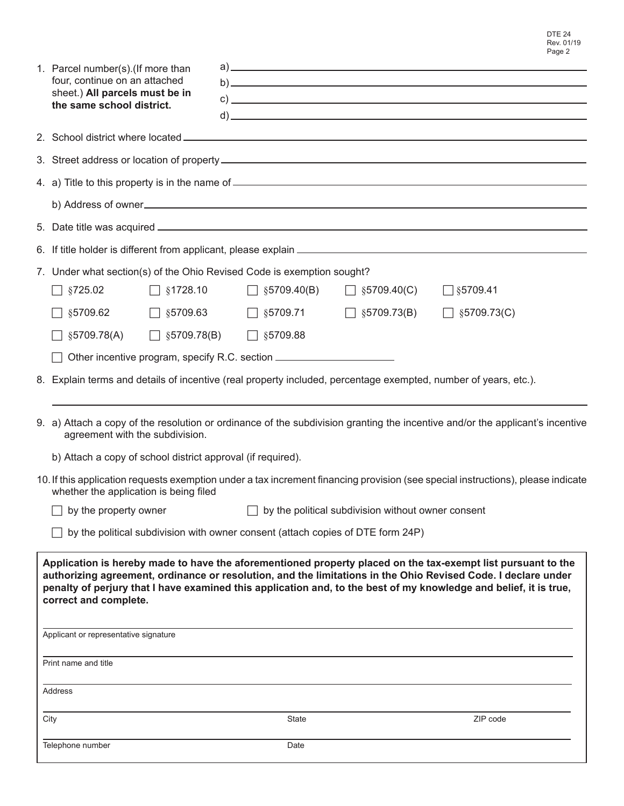|         | 1. Parcel number(s).(If more than<br>four, continue on an attached<br>sheet.) All parcels must be in<br>the same school district.                                                                                                                                                                                                                                                                                                            |  |                                    |                    | $\mathsf{b}$ )<br>$\mathbf{c}$ ) $\blacksquare$                                                                                  |  |  |
|---------|----------------------------------------------------------------------------------------------------------------------------------------------------------------------------------------------------------------------------------------------------------------------------------------------------------------------------------------------------------------------------------------------------------------------------------------------|--|------------------------------------|--------------------|----------------------------------------------------------------------------------------------------------------------------------|--|--|
|         |                                                                                                                                                                                                                                                                                                                                                                                                                                              |  |                                    |                    |                                                                                                                                  |  |  |
|         |                                                                                                                                                                                                                                                                                                                                                                                                                                              |  |                                    |                    |                                                                                                                                  |  |  |
|         |                                                                                                                                                                                                                                                                                                                                                                                                                                              |  |                                    |                    |                                                                                                                                  |  |  |
|         |                                                                                                                                                                                                                                                                                                                                                                                                                                              |  |                                    |                    |                                                                                                                                  |  |  |
|         |                                                                                                                                                                                                                                                                                                                                                                                                                                              |  |                                    |                    |                                                                                                                                  |  |  |
|         |                                                                                                                                                                                                                                                                                                                                                                                                                                              |  |                                    |                    |                                                                                                                                  |  |  |
|         | 7. Under what section(s) of the Ohio Revised Code is exemption sought?                                                                                                                                                                                                                                                                                                                                                                       |  |                                    |                    |                                                                                                                                  |  |  |
|         | §725.02<br>$\Box$ §1728.10                                                                                                                                                                                                                                                                                                                                                                                                                   |  | $\Box$ §5709.40(B)                 | $\Box$ §5709.40(C) | $\Box$ §5709.41                                                                                                                  |  |  |
|         | $\Box$ §5709.63<br>§5709.62                                                                                                                                                                                                                                                                                                                                                                                                                  |  | $\Box$ §5709.71                    | $\Box$ §5709.73(B) | $\Box$ §5709.73(C)                                                                                                               |  |  |
|         | §5709.78(A)                                                                                                                                                                                                                                                                                                                                                                                                                                  |  | $\Box$ §5709.78(B) $\Box$ §5709.88 |                    |                                                                                                                                  |  |  |
|         | Other incentive program, specify R.C. section __________________________________                                                                                                                                                                                                                                                                                                                                                             |  |                                    |                    |                                                                                                                                  |  |  |
|         | 8. Explain terms and details of incentive (real property included, percentage exempted, number of years, etc.).                                                                                                                                                                                                                                                                                                                              |  |                                    |                    |                                                                                                                                  |  |  |
|         | 9. a) Attach a copy of the resolution or ordinance of the subdivision granting the incentive and/or the applicant's incentive<br>agreement with the subdivision.                                                                                                                                                                                                                                                                             |  |                                    |                    |                                                                                                                                  |  |  |
|         | b) Attach a copy of school district approval (if required).                                                                                                                                                                                                                                                                                                                                                                                  |  |                                    |                    |                                                                                                                                  |  |  |
|         | whether the application is being filed                                                                                                                                                                                                                                                                                                                                                                                                       |  |                                    |                    | 10. If this application requests exemption under a tax increment financing provision (see special instructions), please indicate |  |  |
|         | by the political subdivision without owner consent<br>by the property owner                                                                                                                                                                                                                                                                                                                                                                  |  |                                    |                    |                                                                                                                                  |  |  |
|         | by the political subdivision with owner consent (attach copies of DTE form 24P)                                                                                                                                                                                                                                                                                                                                                              |  |                                    |                    |                                                                                                                                  |  |  |
|         | Application is hereby made to have the aforementioned property placed on the tax-exempt list pursuant to the<br>authorizing agreement, ordinance or resolution, and the limitations in the Ohio Revised Code. I declare under<br>penalty of perjury that I have examined this application and, to the best of my knowledge and belief, it is true,<br>correct and complete.<br>Applicant or representative signature<br>Print name and title |  |                                    |                    |                                                                                                                                  |  |  |
| Address |                                                                                                                                                                                                                                                                                                                                                                                                                                              |  |                                    |                    |                                                                                                                                  |  |  |
|         | City                                                                                                                                                                                                                                                                                                                                                                                                                                         |  | <b>State</b>                       |                    | ZIP code                                                                                                                         |  |  |
|         | Telephone number                                                                                                                                                                                                                                                                                                                                                                                                                             |  | Date                               |                    |                                                                                                                                  |  |  |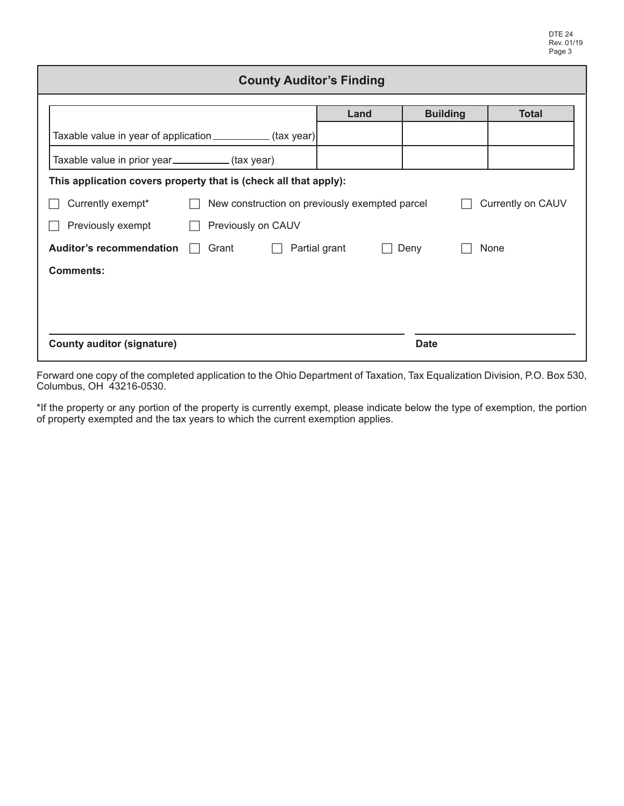| <b>County Auditor's Finding</b>                                                          |      |                 |              |  |  |  |
|------------------------------------------------------------------------------------------|------|-----------------|--------------|--|--|--|
|                                                                                          | Land | <b>Building</b> | <b>Total</b> |  |  |  |
| Taxable value in year of application ____________(tax year)                              |      |                 |              |  |  |  |
| Taxable value in prior year_________(tax year)                                           |      |                 |              |  |  |  |
| This application covers property that is (check all that apply):                         |      |                 |              |  |  |  |
| Currently on CAUV<br>Currently exempt*<br>New construction on previously exempted parcel |      |                 |              |  |  |  |
| Previously on CAUV<br>Previously exempt                                                  |      |                 |              |  |  |  |
| <b>Auditor's recommendation</b><br>Grant<br>Partial grant<br>None<br>Deny                |      |                 |              |  |  |  |
| <b>Comments:</b>                                                                         |      |                 |              |  |  |  |
|                                                                                          |      |                 |              |  |  |  |
|                                                                                          |      |                 |              |  |  |  |
| <b>County auditor (signature)</b>                                                        |      | <b>Date</b>     |              |  |  |  |

Forward one copy of the completed application to the Ohio Department of Taxation, Tax Equalization Division, P.O. Box 530, Columbus, OH 43216-0530.

\*If the property or any portion of the property is currently exempt, please indicate below the type of exemption, the portion of property exempted and the tax years to which the current exemption applies.